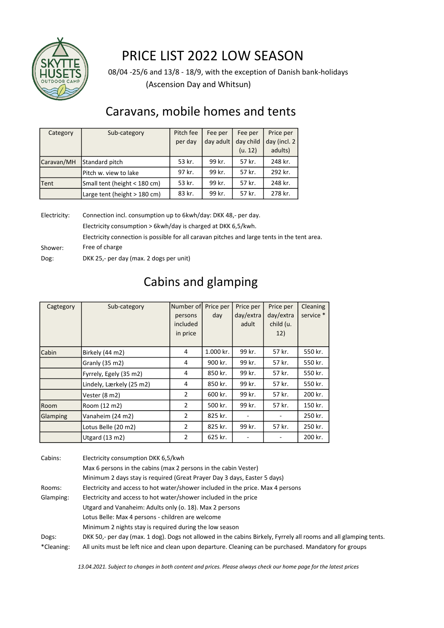

## PRICE LIST 2022 LOW SEASON

 (Ascension Day and Whitsun) 08/04 -25/6 and 13/8 - 18/9, with the exception of Danish bank-holidays

### Caravans, mobile homes and tents

| Category     | Sub-category                   | Pitch fee | Fee per   | Fee per   | Price per    |
|--------------|--------------------------------|-----------|-----------|-----------|--------------|
|              |                                | per day   | day adult | day child | day (incl. 2 |
|              |                                |           |           | (u. 12)   | adults)      |
| Caravan/MH   | Standard pitch                 | 53 kr.    | 99 kr.    | 57 kr.    | 248 kr.      |
|              | Pitch w. view to lake          | 97 kr.    | 99 kr.    | 57 kr.    | 292 kr.      |
| <b>ITent</b> | Small tent (height < 180 cm)   | 53 kr.    | 99 kr.    | 57 kr.    | 248 kr.      |
|              | Large tent (height $> 180$ cm) | 83 kr.    | 99 kr.    | 57 kr.    | 278 kr.      |

Electricity: Connection incl. consumption up to 6kwh/day: DKK 48,- per day. Electricity consumption > 6kwh/day is charged at DKK 6,5/kwh. Shower: Free of charge Electricity connection is possible for all caravan pitches and large tents in the tent area.

Dog: DKK 25,- per day (max. 2 dogs per unit)

### Cabins and glamping

| Cagtegory | Sub-category             | Number of      | Price per | Price per | Price per | Cleaning  |
|-----------|--------------------------|----------------|-----------|-----------|-----------|-----------|
|           |                          | persons        | day       | day/extra | day/extra | service * |
|           |                          | included       |           | adult     | child (u. |           |
|           |                          | in price       |           |           | 12)       |           |
|           |                          |                |           |           |           |           |
| Cabin     | Birkely (44 m2)          | 4              | 1.000 kr. | 99 kr.    | 57 kr.    | 550 kr.   |
|           | Granly (35 m2)           | 4              | 900 kr.   | 99 kr.    | 57 kr.    | 550 kr.   |
|           | Fyrrely, Egely (35 m2)   | 4              | 850 kr.   | 99 kr.    | 57 kr.    | 550 kr.   |
|           | Lindely, Lærkely (25 m2) | 4              | 850 kr.   | 99 kr.    | 57 kr.    | 550 kr.   |
|           | Vester (8 m2)            | $\overline{2}$ | 600 kr.   | 99 kr.    | 57 kr.    | 200 kr.   |
| Room      | Room (12 m2)             | $\overline{2}$ | 500 kr.   | 99 kr.    | 57 kr.    | 150 kr.   |
| Glamping  | Vanaheim (24 m2)         | $\overline{2}$ | 825 kr.   |           |           | 250 kr.   |
|           | Lotus Belle (20 m2)      | $\overline{2}$ | 825 kr.   | 99 kr.    | 57 kr.    | 250 kr.   |
|           | Utgard (13 m2)           | $\overline{2}$ | 625 kr.   |           |           | 200 kr.   |

| Cabins:    | Electricity consumption DKK 6,5/kwh                                                                              |
|------------|------------------------------------------------------------------------------------------------------------------|
|            | Max 6 persons in the cabins (max 2 persons in the cabin Vester)                                                  |
|            | Minimum 2 days stay is required (Great Prayer Day 3 days, Easter 5 days)                                         |
| Rooms:     | Electricity and access to hot water/shower included in the price. Max 4 persons                                  |
| Glamping:  | Electricity and access to hot water/shower included in the price                                                 |
|            | Utgard and Vanaheim: Adults only (o. 18). Max 2 persons                                                          |
|            | Lotus Belle: Max 4 persons - children are welcome                                                                |
|            | Minimum 2 nights stay is required during the low season                                                          |
| Dogs:      | DKK 50,- per day (max. 1 dog). Dogs not allowed in the cabins Birkely, Fyrrely all rooms and all glamping tents. |
| *Cleaning: | All units must be left nice and clean upon departure. Cleaning can be purchased. Mandatory for groups            |

13.04.2021. Subject to changes in both content and prices. Please always check our home page for the latest prices